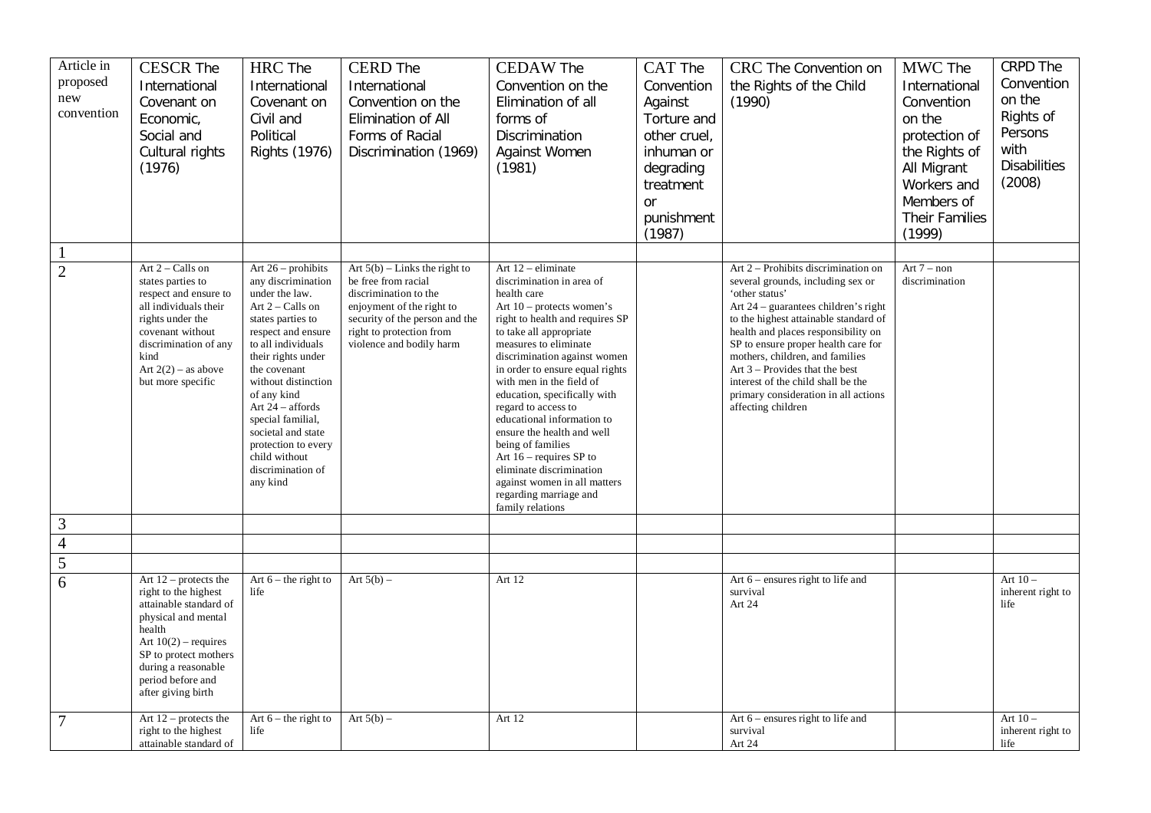| Article in<br>proposed<br>new<br>convention | <b>CESCR The</b><br>International<br>Covenant on<br>Economic,<br>Social and<br>Cultural rights<br>(1976)                                                                                                                        | <b>HRC</b> The<br>International<br>Covenant on<br>Civil and<br>Political<br><b>Rights (1976)</b>                                                                                                                                                                                                                                                                      | <b>CERD</b> The<br>International<br>Convention on the<br>Elimination of All<br>Forms of Racial<br>Discrimination (1969)                                                                                | <b>CEDAW The</b><br>Convention on the<br>Elimination of all<br>forms of<br>Discrimination<br>Against Women<br>(1981)                                                                                                                                                                                                                                                                                                                                                                                                                                               | CAT The<br>Convention<br>Against<br>Torture and<br>other cruel,<br>inhuman or<br>degrading<br>treatment<br><b>or</b><br>punishment<br>(1987) | CRC The Convention on<br>the Rights of the Child<br>(1990)                                                                                                                                                                                                                                                                                                                                                                             | MWC The<br>International<br>Convention<br>on the<br>protection of<br>the Rights of<br>All Migrant<br>Workers and<br>Members of<br><b>Their Families</b><br>(1999) | CRPD The<br>Convention<br>on the<br>Rights of<br>Persons<br>with<br><b>Disabilities</b><br>(2008) |
|---------------------------------------------|---------------------------------------------------------------------------------------------------------------------------------------------------------------------------------------------------------------------------------|-----------------------------------------------------------------------------------------------------------------------------------------------------------------------------------------------------------------------------------------------------------------------------------------------------------------------------------------------------------------------|--------------------------------------------------------------------------------------------------------------------------------------------------------------------------------------------------------|--------------------------------------------------------------------------------------------------------------------------------------------------------------------------------------------------------------------------------------------------------------------------------------------------------------------------------------------------------------------------------------------------------------------------------------------------------------------------------------------------------------------------------------------------------------------|----------------------------------------------------------------------------------------------------------------------------------------------|----------------------------------------------------------------------------------------------------------------------------------------------------------------------------------------------------------------------------------------------------------------------------------------------------------------------------------------------------------------------------------------------------------------------------------------|-------------------------------------------------------------------------------------------------------------------------------------------------------------------|---------------------------------------------------------------------------------------------------|
| $\mathbf{1}$                                |                                                                                                                                                                                                                                 |                                                                                                                                                                                                                                                                                                                                                                       |                                                                                                                                                                                                        |                                                                                                                                                                                                                                                                                                                                                                                                                                                                                                                                                                    |                                                                                                                                              |                                                                                                                                                                                                                                                                                                                                                                                                                                        |                                                                                                                                                                   |                                                                                                   |
| $\overline{2}$                              | Art 2 - Calls on<br>states parties to<br>respect and ensure to<br>all individuals their<br>rights under the<br>covenant without<br>discrimination of any<br>kind<br>Art $2(2)$ – as above<br>but more specific                  | Art $26$ – prohibits<br>any discrimination<br>under the law.<br>Art 2 - Calls on<br>states parties to<br>respect and ensure<br>to all individuals<br>their rights under<br>the covenant<br>without distinction<br>of any kind<br>Art 24 – affords<br>special familial,<br>societal and state<br>protection to every<br>child without<br>discrimination of<br>any kind | Art $5(b)$ – Links the right to<br>be free from racial<br>discrimination to the<br>enjoyment of the right to<br>security of the person and the<br>right to protection from<br>violence and bodily harm | Art 12 - eliminate<br>discrimination in area of<br>health care<br>Art $10$ – protects women's<br>right to health and requires SP<br>to take all appropriate<br>measures to eliminate<br>discrimination against women<br>in order to ensure equal rights<br>with men in the field of<br>education, specifically with<br>regard to access to<br>educational information to<br>ensure the health and well<br>being of families<br>Art $16$ – requires SP to<br>eliminate discrimination<br>against women in all matters<br>regarding marriage and<br>family relations |                                                                                                                                              | Art 2 - Prohibits discrimination on<br>several grounds, including sex or<br>'other status'<br>Art $24$ – guarantees children's right<br>to the highest attainable standard of<br>health and places responsibility on<br>SP to ensure proper health care for<br>mothers, children, and families<br>Art $3$ – Provides that the best<br>interest of the child shall be the<br>primary consideration in all actions<br>affecting children | Art $7 - non$<br>discrimination                                                                                                                                   |                                                                                                   |
| 3                                           |                                                                                                                                                                                                                                 |                                                                                                                                                                                                                                                                                                                                                                       |                                                                                                                                                                                                        |                                                                                                                                                                                                                                                                                                                                                                                                                                                                                                                                                                    |                                                                                                                                              |                                                                                                                                                                                                                                                                                                                                                                                                                                        |                                                                                                                                                                   |                                                                                                   |
| $\overline{4}$                              |                                                                                                                                                                                                                                 |                                                                                                                                                                                                                                                                                                                                                                       |                                                                                                                                                                                                        |                                                                                                                                                                                                                                                                                                                                                                                                                                                                                                                                                                    |                                                                                                                                              |                                                                                                                                                                                                                                                                                                                                                                                                                                        |                                                                                                                                                                   |                                                                                                   |
| 5                                           |                                                                                                                                                                                                                                 |                                                                                                                                                                                                                                                                                                                                                                       |                                                                                                                                                                                                        |                                                                                                                                                                                                                                                                                                                                                                                                                                                                                                                                                                    |                                                                                                                                              |                                                                                                                                                                                                                                                                                                                                                                                                                                        |                                                                                                                                                                   |                                                                                                   |
| 6                                           | Art $12$ – protects the<br>right to the highest<br>attainable standard of<br>physical and mental<br>health<br>Art $10(2)$ – requires<br>SP to protect mothers<br>during a reasonable<br>period before and<br>after giving birth | Art $6$ – the right to<br>life                                                                                                                                                                                                                                                                                                                                        | Art $5(b)$ –                                                                                                                                                                                           | Art 12                                                                                                                                                                                                                                                                                                                                                                                                                                                                                                                                                             |                                                                                                                                              | Art $6$ – ensures right to life and<br>survival<br>Art 24                                                                                                                                                                                                                                                                                                                                                                              |                                                                                                                                                                   | Art $10-$<br>inherent right to<br>life                                                            |
| $\overline{7}$                              | Art $12$ – protects the<br>right to the highest<br>attainable standard of                                                                                                                                                       | Art $6$ – the right to<br>life                                                                                                                                                                                                                                                                                                                                        | Art $5(b)$ –                                                                                                                                                                                           | Art 12                                                                                                                                                                                                                                                                                                                                                                                                                                                                                                                                                             |                                                                                                                                              | Art $6$ – ensures right to life and<br>survival<br>Art 24                                                                                                                                                                                                                                                                                                                                                                              |                                                                                                                                                                   | Art $10-$<br>inherent right to<br>life                                                            |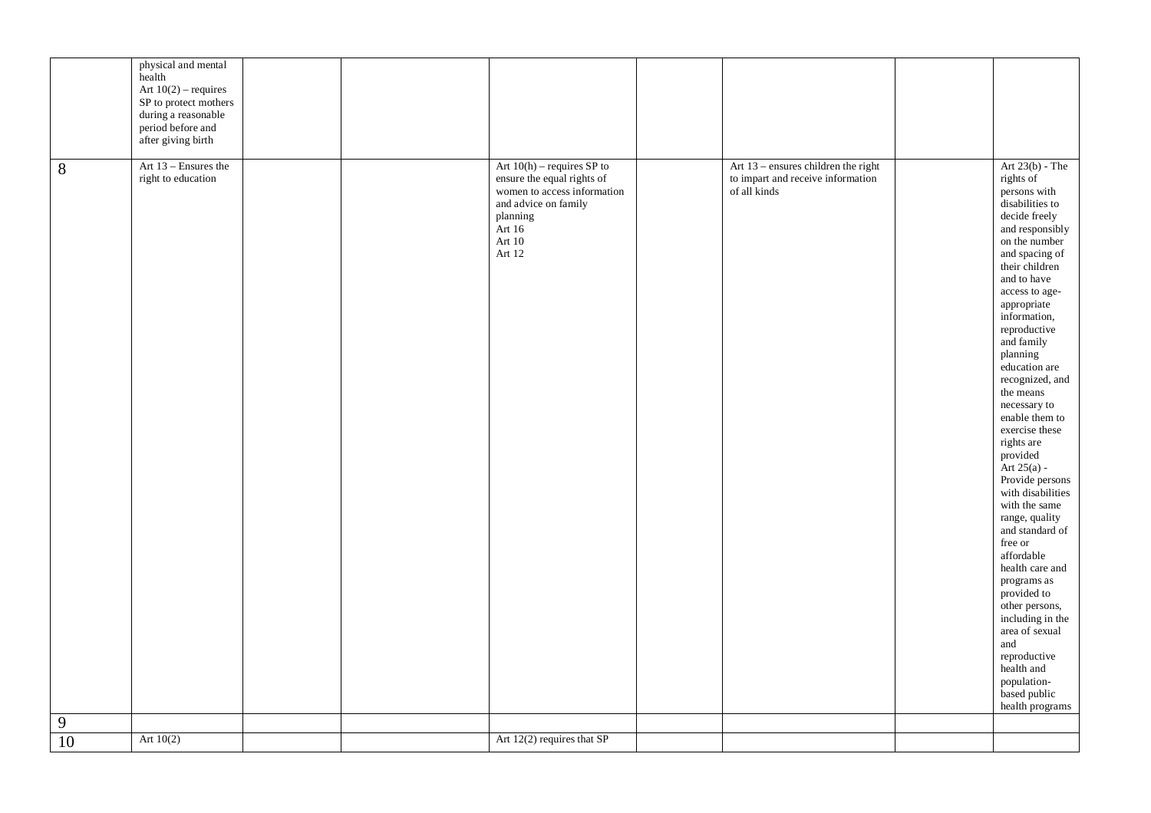|            | physical and mental<br>health<br>Art $10(2)$ – requires<br>SP to protect mothers<br>during a reasonable<br>period before and<br>after giving birth |                                                                                                                                                                 |                                                                                          |                                                                                                                                                                                                                                                                                                                                                                                                                                                                                                                                                                                                                                                                                                                                             |
|------------|----------------------------------------------------------------------------------------------------------------------------------------------------|-----------------------------------------------------------------------------------------------------------------------------------------------------------------|------------------------------------------------------------------------------------------|---------------------------------------------------------------------------------------------------------------------------------------------------------------------------------------------------------------------------------------------------------------------------------------------------------------------------------------------------------------------------------------------------------------------------------------------------------------------------------------------------------------------------------------------------------------------------------------------------------------------------------------------------------------------------------------------------------------------------------------------|
| $8\,$<br>9 | Art 13 - Ensures the<br>right to education                                                                                                         | Art $10(h)$ – requires SP to<br>ensure the equal rights of<br>women to access information<br>and advice on family<br>planning<br>Art 16<br>Art $10\,$<br>Art 12 | Art 13 - ensures children the right<br>to impart and receive information<br>of all kinds | Art $23(b)$ - The<br>rights of<br>persons with<br>disabilities to<br>decide freely<br>and responsibly<br>on the number<br>and spacing of<br>their children<br>and to have<br>access to age-<br>appropriate<br>information,<br>reproductive<br>and family<br>planning<br>education are<br>recognized, and<br>the means<br>necessary to<br>enable them to<br>exercise these<br>rights are<br>provided<br>Art $25(a)$ -<br>Provide persons<br>with disabilities<br>with the same<br>range, quality<br>and standard of<br>free or<br>affordable<br>health care and<br>programs as<br>provided to<br>other persons,<br>including in the<br>area of sexual<br>and<br>reproductive<br>health and<br>population-<br>based public<br>health programs |
| 10         | Art $10(2)$                                                                                                                                        | Art 12(2) requires that SP                                                                                                                                      |                                                                                          |                                                                                                                                                                                                                                                                                                                                                                                                                                                                                                                                                                                                                                                                                                                                             |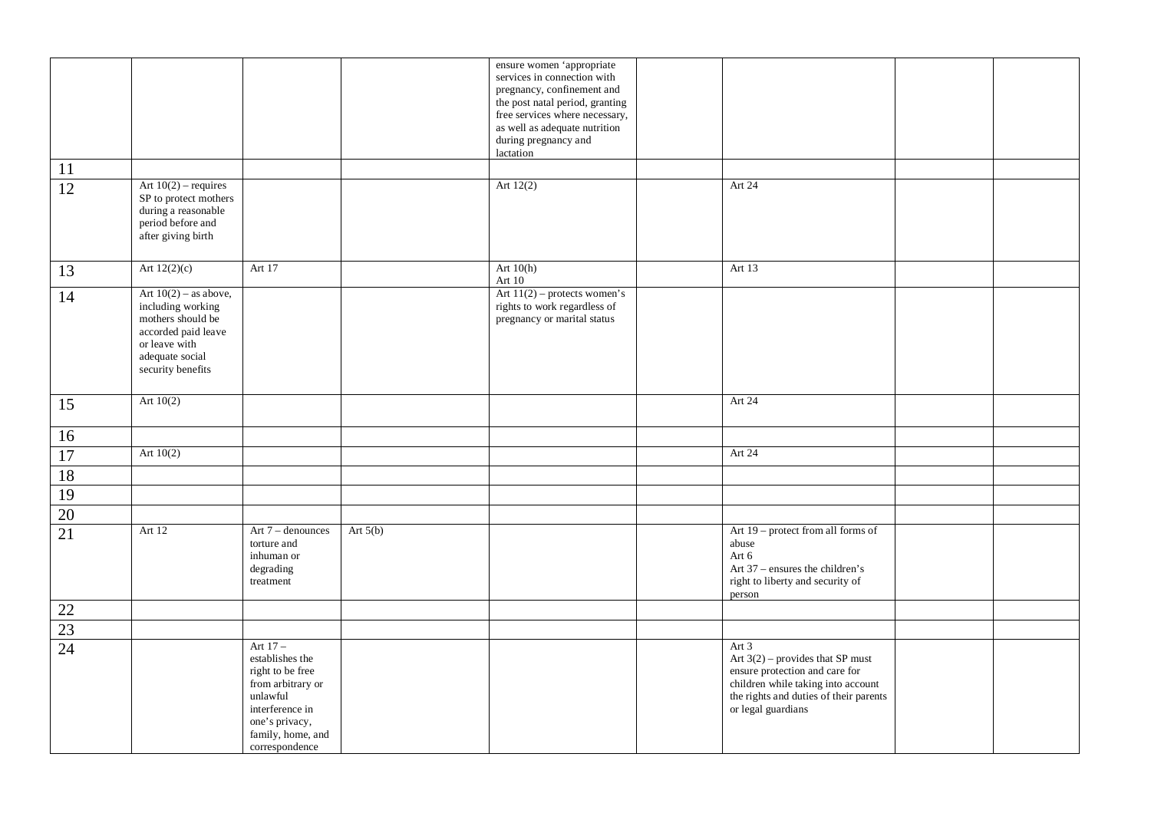|                 |                                                                                                                                                   |                                                                                                                                                               |            | ensure women 'appropriate<br>services in connection with<br>pregnancy, confinement and<br>the post natal period, granting<br>free services where necessary,<br>as well as adequate nutrition<br>during pregnancy and<br>lactation |                                                                                                                                                                                       |  |
|-----------------|---------------------------------------------------------------------------------------------------------------------------------------------------|---------------------------------------------------------------------------------------------------------------------------------------------------------------|------------|-----------------------------------------------------------------------------------------------------------------------------------------------------------------------------------------------------------------------------------|---------------------------------------------------------------------------------------------------------------------------------------------------------------------------------------|--|
| 11              |                                                                                                                                                   |                                                                                                                                                               |            |                                                                                                                                                                                                                                   |                                                                                                                                                                                       |  |
| $\overline{12}$ | Art $10(2)$ – requires<br>SP to protect mothers<br>during a reasonable<br>period before and<br>after giving birth                                 |                                                                                                                                                               |            | Art 12(2)                                                                                                                                                                                                                         | Art 24                                                                                                                                                                                |  |
| 13              | Art $12(2)(c)$                                                                                                                                    | Art 17                                                                                                                                                        |            | Art $10(h)$<br>Art 10                                                                                                                                                                                                             | Art 13                                                                                                                                                                                |  |
| 14              | Art $10(2)$ – as above,<br>including working<br>mothers should be<br>accorded paid leave<br>or leave with<br>adequate social<br>security benefits |                                                                                                                                                               |            | Art $11(2)$ – protects women's<br>rights to work regardless of<br>pregnancy or marital status                                                                                                                                     |                                                                                                                                                                                       |  |
| 15              | Art $10(2)$                                                                                                                                       |                                                                                                                                                               |            |                                                                                                                                                                                                                                   | Art 24                                                                                                                                                                                |  |
| 16              |                                                                                                                                                   |                                                                                                                                                               |            |                                                                                                                                                                                                                                   |                                                                                                                                                                                       |  |
| 17              | Art $10(2)$                                                                                                                                       |                                                                                                                                                               |            |                                                                                                                                                                                                                                   | Art 24                                                                                                                                                                                |  |
| 18              |                                                                                                                                                   |                                                                                                                                                               |            |                                                                                                                                                                                                                                   |                                                                                                                                                                                       |  |
| $\overline{19}$ |                                                                                                                                                   |                                                                                                                                                               |            |                                                                                                                                                                                                                                   |                                                                                                                                                                                       |  |
| $\overline{20}$ |                                                                                                                                                   |                                                                                                                                                               |            |                                                                                                                                                                                                                                   |                                                                                                                                                                                       |  |
| 21              | Art 12                                                                                                                                            | Art 7 - denounces<br>torture and<br>inhuman or<br>degrading<br>treatment                                                                                      | Art $5(b)$ |                                                                                                                                                                                                                                   | Art 19 – protect from all forms of<br>abuse<br>Art 6<br>Art 37 – ensures the children's<br>right to liberty and security of<br>person                                                 |  |
| 22              |                                                                                                                                                   |                                                                                                                                                               |            |                                                                                                                                                                                                                                   |                                                                                                                                                                                       |  |
| $\overline{23}$ |                                                                                                                                                   |                                                                                                                                                               |            |                                                                                                                                                                                                                                   |                                                                                                                                                                                       |  |
| $\overline{24}$ |                                                                                                                                                   | Art $17-$<br>establishes the<br>right to be free<br>from arbitrary or<br>unlawful<br>interference in<br>one's privacy,<br>family, home, and<br>correspondence |            |                                                                                                                                                                                                                                   | Art $3$<br>Art $3(2)$ – provides that SP must<br>ensure protection and care for<br>children while taking into account<br>the rights and duties of their parents<br>or legal guardians |  |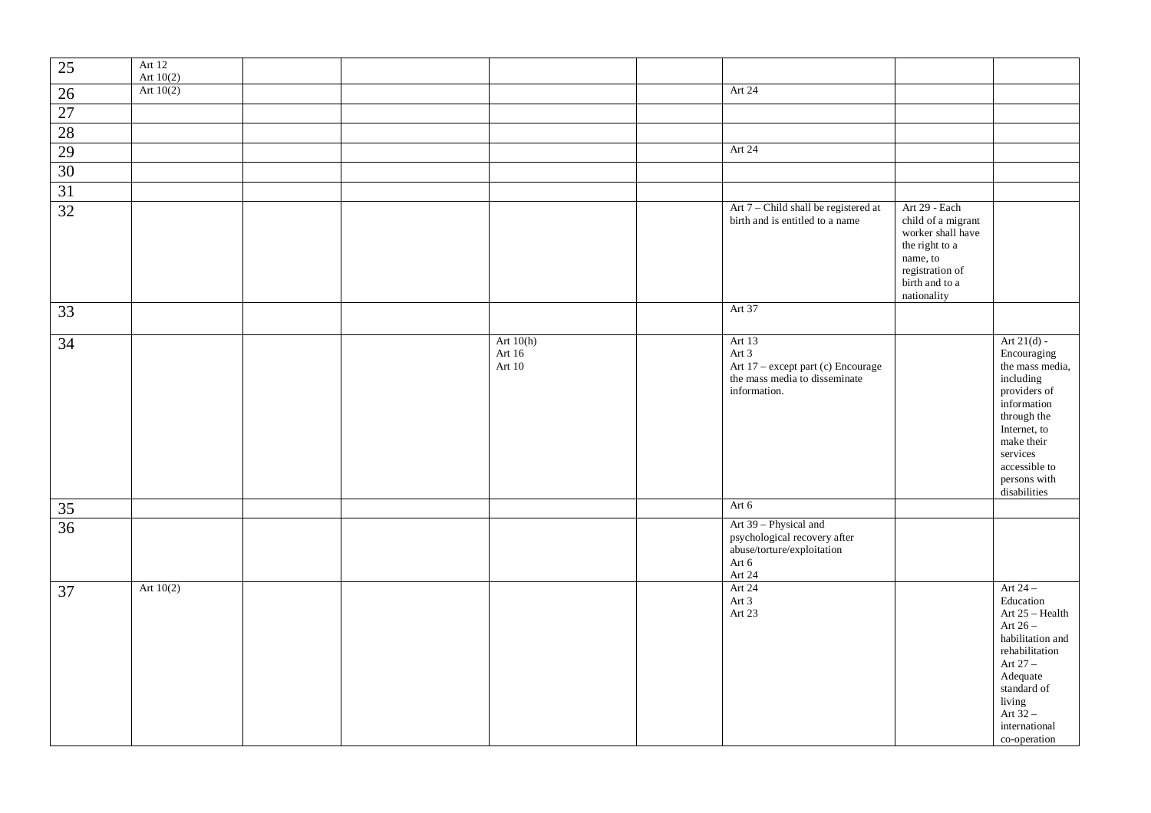| $25\,$          | Art 12<br>Art $10(2)$ |  |                                 |                                                                                                        |                                                                                                                                            |                                                                                                                                                                                                       |
|-----------------|-----------------------|--|---------------------------------|--------------------------------------------------------------------------------------------------------|--------------------------------------------------------------------------------------------------------------------------------------------|-------------------------------------------------------------------------------------------------------------------------------------------------------------------------------------------------------|
| $26\,$          | Art $10(2)$           |  |                                 | Art 24                                                                                                 |                                                                                                                                            |                                                                                                                                                                                                       |
| $27\,$          |                       |  |                                 |                                                                                                        |                                                                                                                                            |                                                                                                                                                                                                       |
| 28              |                       |  |                                 |                                                                                                        |                                                                                                                                            |                                                                                                                                                                                                       |
| 29              |                       |  |                                 | Art 24                                                                                                 |                                                                                                                                            |                                                                                                                                                                                                       |
| 30              |                       |  |                                 |                                                                                                        |                                                                                                                                            |                                                                                                                                                                                                       |
| $\overline{31}$ |                       |  |                                 |                                                                                                        |                                                                                                                                            |                                                                                                                                                                                                       |
| $\overline{32}$ |                       |  |                                 | Art 7 - Child shall be registered at<br>birth and is entitled to a name                                | Art 29 - Each<br>child of a migrant<br>worker shall have<br>the right to a<br>name, to<br>registration of<br>birth and to a<br>nationality |                                                                                                                                                                                                       |
| 33              |                       |  |                                 | Art 37                                                                                                 |                                                                                                                                            |                                                                                                                                                                                                       |
| $\overline{34}$ |                       |  | Art $10(h)$<br>Art 16<br>Art 10 | Art 13<br>Art 3<br>Art 17 – except part (c) Encourage<br>the mass media to disseminate<br>information. |                                                                                                                                            | Art $21(d)$ -<br>Encouraging<br>the mass media,<br>including<br>providers of<br>information<br>through the<br>Internet, to<br>make their<br>services<br>accessible to<br>persons with<br>disabilities |
| 35              |                       |  |                                 | Art 6                                                                                                  |                                                                                                                                            |                                                                                                                                                                                                       |
| $\overline{36}$ |                       |  |                                 | Art 39 - Physical and<br>psychological recovery after<br>abuse/torture/exploitation<br>Art 6<br>Art 24 |                                                                                                                                            |                                                                                                                                                                                                       |
| 37              | Art $10(2)$           |  |                                 | Art 24<br>Art 3<br>Art 23                                                                              |                                                                                                                                            | Art $24-$<br>Education<br>Art 25 - Health<br>Art $26-$<br>habilitation and<br>rehabilitation<br>Art $27-$<br>Adequate<br>standard of<br>living<br>Art $32-$<br>international<br>co-operation          |